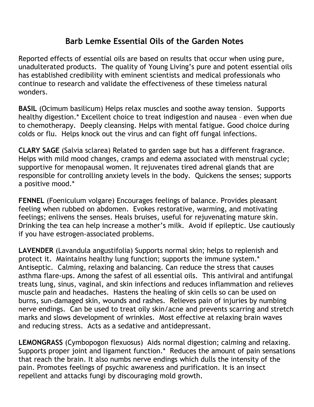## **Barb Lemke Essential Oils of the Garden Notes**

Reported effects of essential oils are based on results that occur when using pure, unadulterated products. The quality of Young Living's pure and potent essential oils has established credibility with eminent scientists and medical professionals who continue to research and validate the effectiveness of these timeless natural wonders.

**BASIL** (Ocimum basilicum) Helps relax muscles and soothe away tension. Supports healthy digestion.\* Excellent choice to treat indigestion and nausea – even when due to chemotherapy. Deeply cleansing. Helps with mental fatigue. Good choice during colds or flu. Helps knock out the virus and can fight off fungal infections.

**CLARY SAGE** (Salvia sclarea) Related to garden sage but has a different fragrance. Helps with mild mood changes, cramps and edema associated with menstrual cycle; supportive for menopausal women. It rejuvenates tired adrenal glands that are responsible for controlling anxiety levels in the body. Quickens the senses; supports a positive mood.\*

**FENNEL** (Foeniculum volgare) Encourages feelings of balance. Provides pleasant feeling when rubbed on abdomen. Evokes restorative, warming, and motivating feelings; enlivens the senses. Heals bruises, useful for rejuvenating mature skin. Drinking the tea can help increase a mother's milk. Avoid if epileptic. Use cautiously if you have estrogen-associated problems.

**LAVENDER** (Lavandula angustifolia) Supports normal skin; helps to replenish and protect it. Maintains healthy lung function; supports the immune system.\* Antiseptic. Calming, relaxing and balancing. Can reduce the stress that causes asthma flare-ups. Among the safest of all essential oils. This antiviral and antifungal treats lung, sinus, vaginal, and skin infections and reduces inflammation and relieves muscle pain and headaches. Hastens the healing of skin cells so can be used on burns, sun-damaged skin, wounds and rashes. Relieves pain of injuries by numbing nerve endings. Can be used to treat oily skin/acne and prevents scarring and stretch marks and slows development of wrinkles. Most effective at relaxing brain waves and reducing stress. Acts as a sedative and antidepressant.

**LEMONGRASS** (Cymbopogon flexuosus) Aids normal digestion; calming and relaxing. Supports proper joint and ligament function.\* Reduces the amount of pain sensations that reach the brain. It also numbs nerve endings which dulls the intensity of the pain. Promotes feelings of psychic awareness and purification. It is an insect repellent and attacks fungi by discouraging mold growth.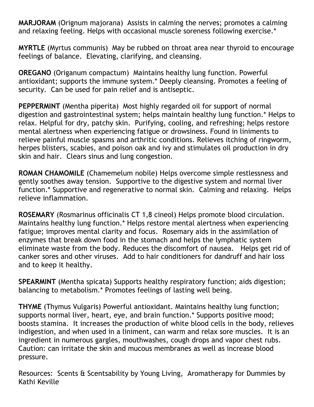**MARJORAM** (Orignum majorana) Assists in calming the nerves; promotes a calming and relaxing feeling. Helps with occasional muscle soreness following exercise.\*

**MYRTLE** (Myrtus communis) May be rubbed on throat area near thyroid to encourage feelings of balance. Elevating, clarifying, and cleansing.

**OREGANO** (Origanum compactum) Maintains healthy lung function. Powerful antioxidant; supports the immune system.\* Deeply cleansing. Promotes a feeling of security. Can be used for pain relief and is antiseptic.

**PEPPERMINT** (Mentha piperita) Most highly regarded oil for support of normal digestion and gastrointestinal system; helps maintain healthy lung function.\* Helps to relax. Helpful for dry, patchy skin. Purifying, cooling, and refreshing; helps restore mental alertness when experiencing fatigue or drowsiness. Found in liniments to relieve painful muscle spasms and arthritic conditions. Relieves itching of ringworm, herpes blisters, scabies, and poison oak and ivy and stimulates oil production in dry skin and hair. Clears sinus and lung congestion.

**ROMAN CHAMOMILE** (Chamemelum nobile) Helps overcome simple restlessness and gently soothes away tension. Supportive to the digestive system and normal liver function.\* Supportive and regenerative to normal skin. Calming and relaxing. Helps relieve inflammation.

**ROSEMARY** (Rosmarinus officinalis CT 1,8 cineol) Helps promote blood circulation. Maintains healthy lung function.\* Helps restore mental alertness when experiencing fatigue; improves mental clarity and focus. Rosemary aids in the assimilation of enzymes that break down food in the stomach and helps the lymphatic system eliminate waste from the body. Reduces the discomfort of nausea. Helps get rid of canker sores and other viruses. Add to hair conditioners for dandruff and hair loss and to keep it healthy.

**SPEARMINT** (Mentha spicata) Supports healthy respiratory function; aids digestion; balancing to metabolism.\* Promotes feelings of lasting well being.

**THYME** (Thymus Vulgaris) Powerful antioxidant. Maintains healthy lung function; supports normal liver, heart, eye, and brain function.\* Supports positive mood; boosts stamina. It increases the production of white blood cells in the body, relieves indigestion, and when used in a liniment, can warm and relax sore muscles. It is an ingredient in numerous gargles, mouthwashes, cough drops and vapor chest rubs. Caution: can irritate the skin and mucous membranes as well as increase blood pressure.

Resources: Scents & Scentsability by Young Living, Aromatherapy for Dummies by Kathi Keville